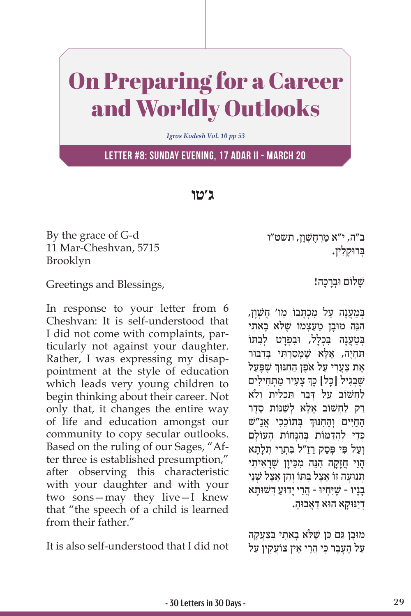## On Preparing for a Career and Worldly Outlooks

*Igros Kodesh Vol. 10 pp 53*

**Letter #8: Sunday evening, 17 Adar II - March 20**

**ג'טו**

By the grace of G-d 11 Mar-Cheshvan, 5715 Brooklyn

Greetings and Blessings,

In response to your letter from 6 Cheshvan: It is self-understood that I did not come with complaints, particularly not against your daughter. Rather, I was expressing my disappointment at the style of education which leads very young children to begin thinking about their career. Not only that, it changes the entire way of life and education amongst our community to copy secular outlooks. Based on the ruling of our Sages, "After three is established presumption," after observing this characteristic with your daughter and with your two sons—may they live—I knew that "the speech of a child is learned from their father."

It is also self-understood that I did not

ב"ה, י"א מַרְחֱשָׁוַן, תשט"ו ְּב ּרו ְק ִלין.

שלום וּברכה!

במענה על מכתבו מו' חשׁון, ִהֵנּ ּ ה מוָב ֵ ן מַע ְצמוֹ שֶׁ ּל ָ ֹא ב ִאתי בִּטְעָנָה בַּכְלֹל, וּבִפְרְט לְבַתּוֹ תִּחְיֶה, אֶלָּא שֶׁמֶּסַרְתִּי בְּדִבּוּר אֶת צַעֲרִי עַל אֹפֶן הַחִנּוּךְ שֶׁפָּעַל ׇׅ֧֧֓<u>֓</u> שֶׁבְּגִיל [כָל] כָּךְ צָעִיר מַתְחִילִים לחשוב על דבר תכלית ולֹא ַרַק לַחְשׁוֹב אֶלָּא לְשַׁנּוֹת סֵדֶר ֧֧֧֧֦֧֢ׅ֖֧֚֚֝֝֬<u>֓</u> הַחַיִּים וְהַחִנּוּךְ בְּתוֹכֵכִי אֲנַ"שׁ כְדֵי לְהדּמוֹת בַּהוּחוֹת העוֹלם וַעל פּי פִּסק רז"ל בּתֵרִי תַּלֹתא ָהוי חזקה הִנּה מכּיון שִׁראיתי ְתּנוּעָה זוֹ אָצל בּתּוֹ והן אַצל שׁני ָבָניו - שֶׁ ּיִ ְח ּיו ֲ - הֵר ָי י ּדוַע ְ ּ ד ּשׁ וָתא ְדַי ּנּוָק ּ א הו ַא דֲא ּבוָה.

ּמוָב ַּ ן ג ֵם כּ ן שֶׁ ּל ָ ֹא ב ִאת ְּ י בַצֲעָקה ַעֲל הֶעֲבָר כִּי הֲרֵי אֵין צוֹעֲקִין עַל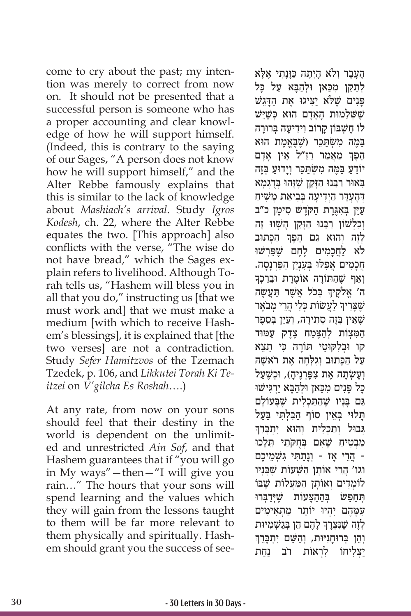come to cry about the past; my intention was merely to correct from now on. It should not be presented that a successful person is someone who has a proper accounting and clear knowledge of how he will support himself. (Indeed, this is contrary to the saying of our Sages, "A person does not know how he will support himself," and the Alter Rebbe famously explains that this is similar to the lack of knowledge about *Mashiach's arrival*. Study *Igros Kodesh*, ch. 22, where the Alter Rebbe equates the two. [This approach] also conflicts with the verse, "The wise do not have bread," which the Sages explain refers to livelihood. Although Torah tells us, "Hashem will bless you in all that you do," instructing us [that we must work and] that we must make a medium [with which to receive Hashem's blessings], it is explained that [the two verses] are not a contradiction. Study *Sefer Hamitzvos* of the Tzemach Tzedek, p. 106, and *Likkutei Torah Ki Teitzei* on *V'gilcha Es Roshah*….)

At any rate, from now on your sons should feel that their destiny in the world is dependent on the unlimited and unrestricted *Ain Sof*, and that Hashem guarantees that if "you will go in My ways"—then—"I will give you rain…" The hours that your sons will spend learning and the values which they will gain from the lessons taught to them will be far more relevant to them physically and spiritually. Hashem should grant you the success of seeּלא ֶהָעָב ְר ו ָ לֹא הְיָת ַ ה כָּּוָנ ִת ֶ י אָ לתקן מכאן ולהבא על כל פּנים שלא יציגו את הדגש שַׁשָׁלֵמוּת הָאַדַם הוא כִּשֵׁיֵּשׁ ְלוֹ חַשָׁבּוֹן קרוֹב וידיעה בְּרוּרה ַבְּמֶה מְשָׂתַכֶּר (שֶׁבֲאֱמֶת הוּא ֧֧֧֧֦֧֢ׅ֖֧֚֚֝֝֬<u>֓</u> הֵפֶךְ מַאֲמַר רַזַ״ל אֵין אָדָם ֵ יוֹ דַע ַּ ב ֶּמ ִה מ ְשׂ ַּתֵכּ ְר וָי ּדוַע ְּ בֶזה ַבְּאוּר רַבְּנוּ הַזַּקֵן שֵׁזֵּהוּ בִּדְגָמא דְהֵעָדֶר הַיְדִיעַה בְּבִיאַת מַשִׁיחַ ַעֲיֵן בְּאָגֶּרֶת הַקְדָשׁ סִימַן כ"ב וְכִלְשׁוֹן רַבֵּנוּ הַזַּקֵן הָשָׁווּ זֶה ֧֧֧֦֧֢ׅ֖֖֖֖֖֧֚֚֚֚֚֚֝֝֬<u>֓</u> ַלְזֶה וְהוּא גַם הֵפֶּךְ הַכָּתוּב לֹא לַחֲכָמִים לֶחֶם שֵׁפֵּרְשׁוּ חֲכָמִים אֲפִלּוּ בְּעָנְיַן הַפַּרְנָסָה.<br>וְאַף שֶׁהַתּוֹרָה אוֹמֶרֶת וּבִרַכְךָ ָה' אֱלֹקֶיךָ בְּכֹל אֲשֶׁר תַּעֲשֶׂה ֧֧֧֧֦֧֢ׅ֖֧֚֚֝֝֬<u>֓</u> שֶׁצָּרִיךְ לַעֲשׂוֹת כְּלִי הֲרֵי מְבֹאָר ְשֵׁאֵין בְּזֶה סְתִירַה, וְעַיֵּן בְּסֶפֶר הַמַּצִוֹת לְהַצֵּמַח צֶדֶק עַמּוּד ּ קו ו ְב ִל ּק ּוֵט ּ י ת ָוֹ ר ִ ה כּ ֵ י תֵצא ַעֲל הַכְּתוּב וְגִלְחָה אֶת רֹאשָׁה וְעַשְׂתָה אֶת צְפַּרְנֵיהָ), וּכִשֶׁעַל ַכָּל פָּנִים מִכַּאן וּלְהַבָּא יַרְגִּישׁוּ ַּגַם בָּנָיו שֶׁהַתַּכְלִית שֶׁבַּעוֹלַם תלוי באין סוֹף הבלתי בעל גְבוּל וְתַכְלִית וְהוּא יִתְבַּרֶךְ ַמְבְטִיחַ שֵׁאָם בְּחִקֹתֵי תֵּלֵכוּ ֲ - הֵר ָ י א ְ ז - וָנַת ִּת ִ י גשׁ ְ ֵמ ֶיכם וגו' הֲרֵי אוֹתַן הַשָּׁעוֹת שֵׁבָּנִיו לוֹמִדִים וְאוֹתַן הַמַּעֲלוֹת שֵׁבּוֹ תְחַפֵּשׁ בְּהַהָצַעוֹת שֵׁיִּיַבְרוּ ַעמהם יהיו יוֹתר מתאימים ֧֧֧֦֧֢ׅ֖֖֖֖֖֧֚֚֚֚֚֚֝֝֬<u>֓</u> לְזֶה שֶׁנִּצְרָךְ לָהֶם הֵן בְּגַשְׁמִיּוּת<br>והו ברוחניוּת. והשם יתברד וְהֵן בִּרוּחִנִּיּוּת, וְהִשֵּׁם יתִבְּרֶךְ ַצִלְיחוֹ לְרְאוֹת רֹב נַחַת